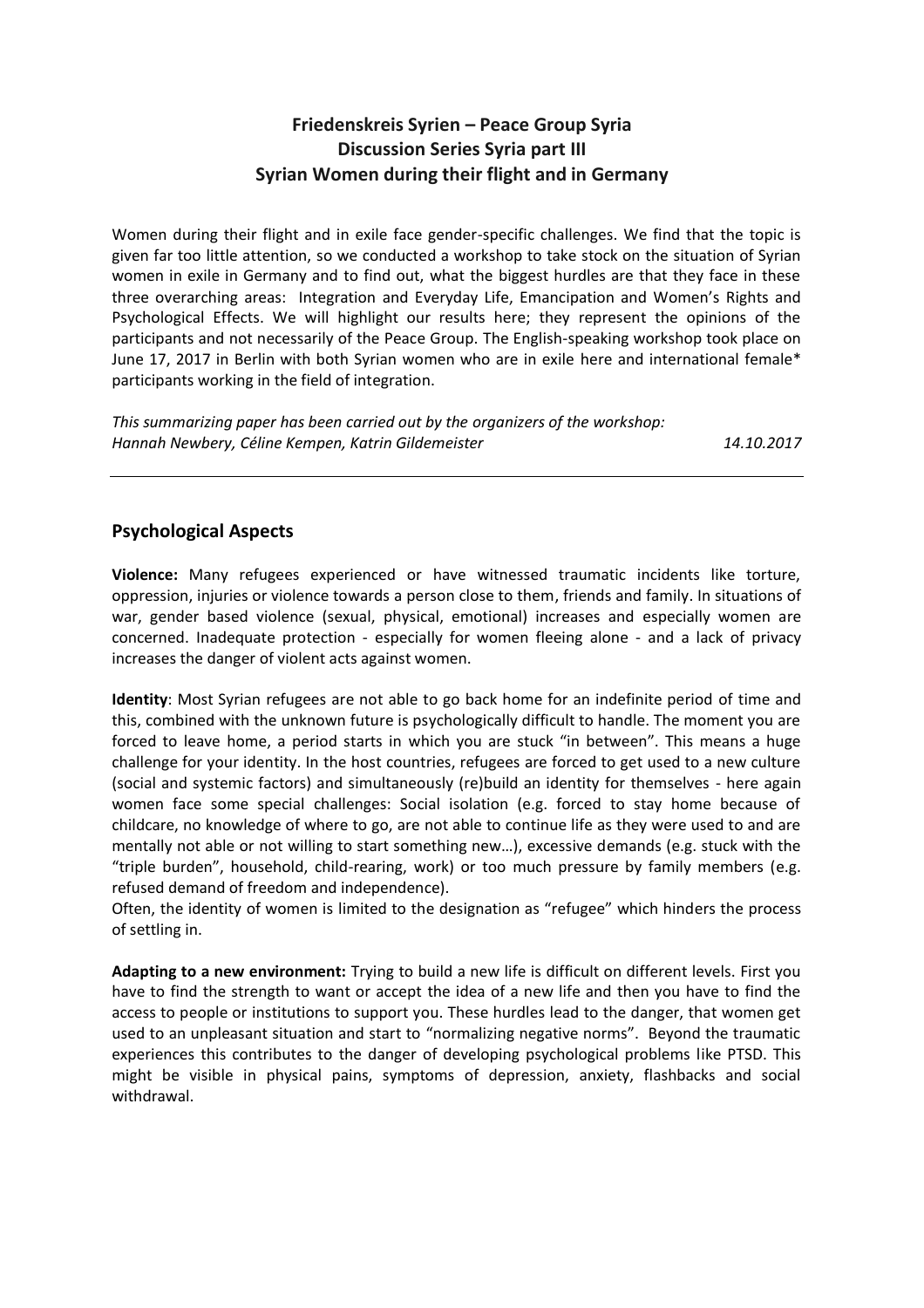# **Friedenskreis Syrien – Peace Group Syria Discussion Series Syria part III Syrian Women during their flight and in Germany**

Women during their flight and in exile face gender-specific challenges. We find that the topic is given far too little attention, so we conducted a workshop to take stock on the situation of Syrian women in exile in Germany and to find out, what the biggest hurdles are that they face in these three overarching areas: Integration and Everyday Life, Emancipation and Women's Rights and Psychological Effects. We will highlight our results here; they represent the opinions of the participants and not necessarily of the Peace Group. The English-speaking workshop took place on June 17, 2017 in Berlin with both Syrian women who are in exile here and international female\* participants working in the field of integration.

*This summarizing paper has been carried out by the organizers of the workshop: Hannah Newbery, Céline Kempen, Katrin Gildemeister 14.10.2017*

## **Psychological Aspects**

**Violence:** Many refugees experienced or have witnessed traumatic incidents like torture, oppression, injuries or violence towards a person close to them, friends and family. In situations of war, gender based violence (sexual, physical, emotional) increases and especially women are concerned. Inadequate protection - especially for women fleeing alone - and a lack of privacy increases the danger of violent acts against women.

**Identity**: Most Syrian refugees are not able to go back home for an indefinite period of time and this, combined with the unknown future is psychologically difficult to handle. The moment you are forced to leave home, a period starts in which you are stuck "in between". This means a huge challenge for your identity. In the host countries, refugees are forced to get used to a new culture (social and systemic factors) and simultaneously (re)build an identity for themselves - here again women face some special challenges: Social isolation (e.g. forced to stay home because of childcare, no knowledge of where to go, are not able to continue life as they were used to and are mentally not able or not willing to start something new…), excessive demands (e.g. stuck with the "triple burden", household, child-rearing, work) or too much pressure by family members (e.g. refused demand of freedom and independence).

Often, the identity of women is limited to the designation as "refugee" which hinders the process of settling in.

**Adapting to a new environment:** Trying to build a new life is difficult on different levels. First you have to find the strength to want or accept the idea of a new life and then you have to find the access to people or institutions to support you. These hurdles lead to the danger, that women get used to an unpleasant situation and start to "normalizing negative norms". Beyond the traumatic experiences this contributes to the danger of developing psychological problems like PTSD. This might be visible in physical pains, symptoms of depression, anxiety, flashbacks and social withdrawal.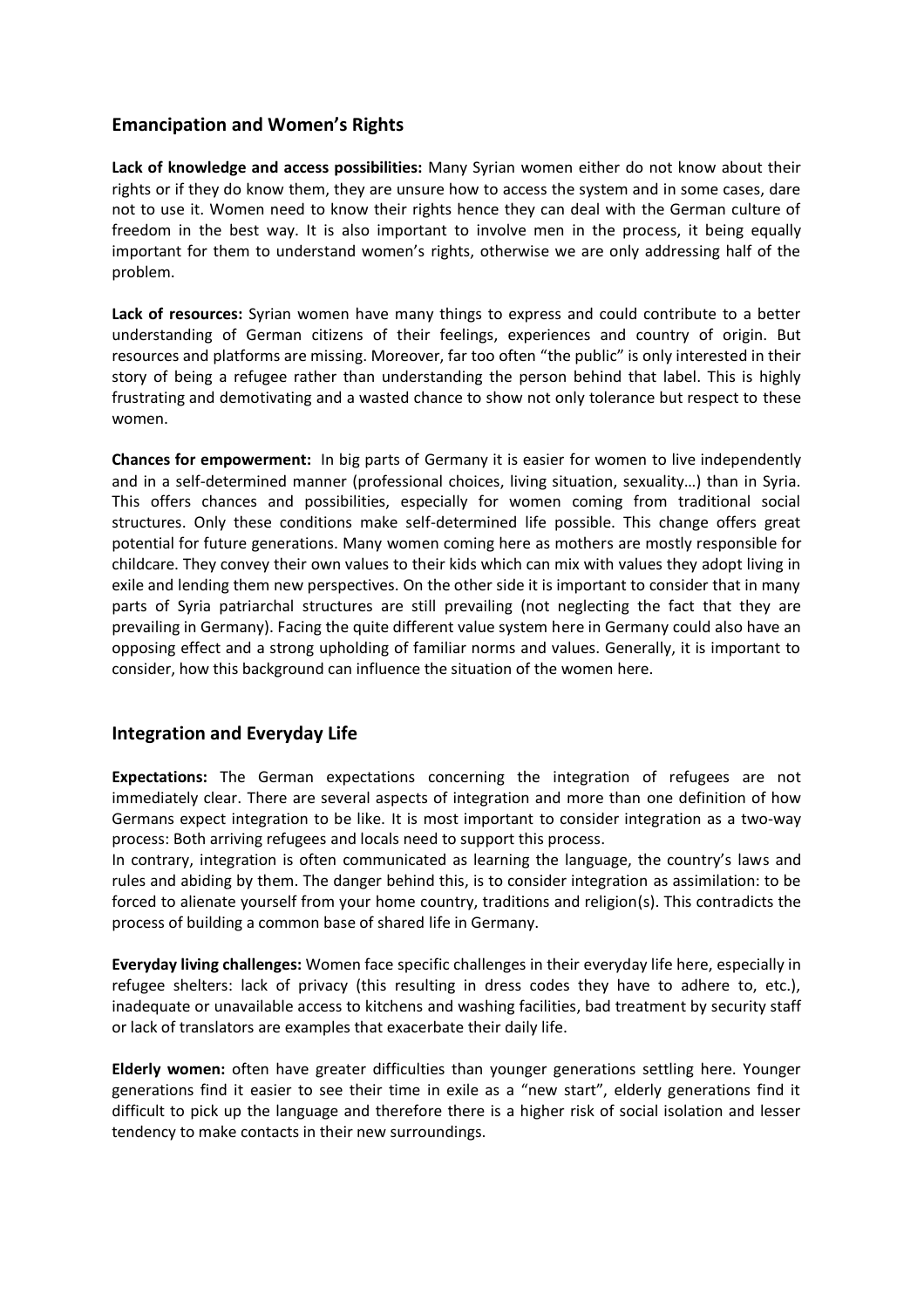### **Emancipation and Women's Rights**

**Lack of knowledge and access possibilities:** Many Syrian women either do not know about their rights or if they do know them, they are unsure how to access the system and in some cases, dare not to use it. Women need to know their rights hence they can deal with the German culture of freedom in the best way. It is also important to involve men in the process, it being equally important for them to understand women's rights, otherwise we are only addressing half of the problem.

**Lack of resources:** Syrian women have many things to express and could contribute to a better understanding of German citizens of their feelings, experiences and country of origin. But resources and platforms are missing. Moreover, far too often "the public" is only interested in their story of being a refugee rather than understanding the person behind that label. This is highly frustrating and demotivating and a wasted chance to show not only tolerance but respect to these women.

**Chances for empowerment:** In big parts of Germany it is easier for women to live independently and in a self-determined manner (professional choices, living situation, sexuality…) than in Syria. This offers chances and possibilities, especially for women coming from traditional social structures. Only these conditions make self-determined life possible. This change offers great potential for future generations. Many women coming here as mothers are mostly responsible for childcare. They convey their own values to their kids which can mix with values they adopt living in exile and lending them new perspectives. On the other side it is important to consider that in many parts of Syria patriarchal structures are still prevailing (not neglecting the fact that they are prevailing in Germany). Facing the quite different value system here in Germany could also have an opposing effect and a strong upholding of familiar norms and values. Generally, it is important to consider, how this background can influence the situation of the women here.

### **Integration and Everyday Life**

**Expectations:** The German expectations concerning the integration of refugees are not immediately clear. There are several aspects of integration and more than one definition of how Germans expect integration to be like. It is most important to consider integration as a two-way process: Both arriving refugees and locals need to support this process.

In contrary, integration is often communicated as learning the language, the country's laws and rules and abiding by them. The danger behind this, is to consider integration as assimilation: to be forced to alienate yourself from your home country, traditions and religion(s). This contradicts the process of building a common base of shared life in Germany.

**Everyday living challenges:** Women face specific challenges in their everyday life here, especially in refugee shelters: lack of privacy (this resulting in dress codes they have to adhere to, etc.), inadequate or unavailable access to kitchens and washing facilities, bad treatment by security staff or lack of translators are examples that exacerbate their daily life.

**Elderly women:** often have greater difficulties than younger generations settling here. Younger generations find it easier to see their time in exile as a "new start", elderly generations find it difficult to pick up the language and therefore there is a higher risk of social isolation and lesser tendency to make contacts in their new surroundings.